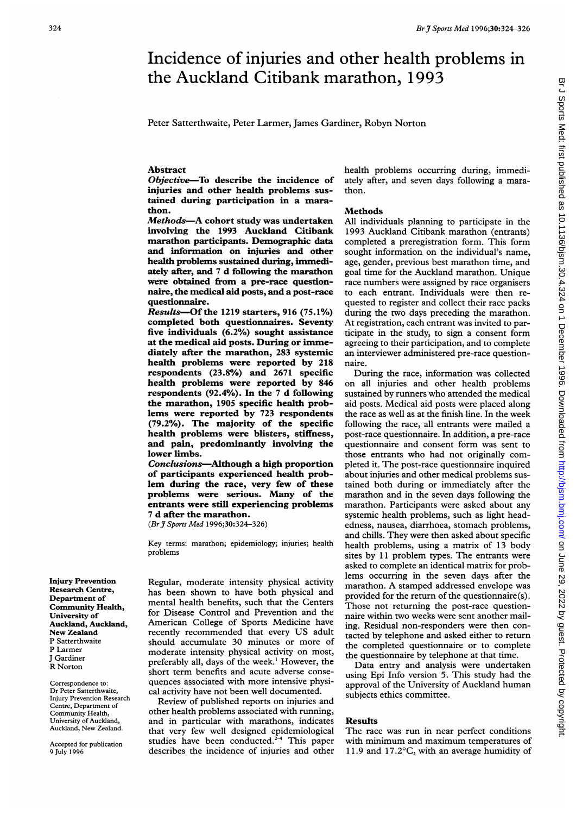# Incidence of injuries and other health problems in the Auckland Citibank marathon, 1993

Peter Satterthwaite, Peter Larmer, James Gardiner, Robyn Norton

## Abstract

Objective-To describe the incidence of injuries and other health problems sustained during participation in a marathon.

Methods-A cohort study was undertaken involving the 1993 Auckland Citibank marathon participants. Demographic data and information on injuries and other health problems sustained during, immediately after, and 7 d following the marathon were obtained from a pre-race questionnaire, the medical aid posts, and a post-race questionnaire.

Results-Of the 1219 starters, 916 (75.1%) completed both questionnaires. Seventy five individuals (6.2%) sought assistance at the medical aid posts. During or immediately after the marathon, 283 systemic health problems were reported by 218 respondents (23.8%) and 2671 specific health problems were reported by 846 respondents (92.4%). In the 7 d following the marathon, 1905 specific health problems were reported by 723 respondents (79.2%). The majority of the specific health problems were blisters, stiffness, and pain, predominantly involving the lower limbs.

Conclusions-Although a high proportion of participants experienced health problem during the race, very few of these problems were serious. Many of the entrants were still experiencing problems 7 d after the marathon.

(BrJ Sports Med 1996;30:324-326)

Key terms: marathon; epidemiology; injuries; health problems

Injury Prevention Research Centre, Department of Community Health, University of Auckland, Auckland, New Zealand P Satterthwaite P Larmer J Gardiner R Norton

Correspondence to: Dr Peter Satterthwaite, Injury Prevention Research Centre, Department of Community Health, University of Auckland, Auckland, New Zealand.

Accepted for publication 9 July 1996

Regular, moderate intensity physical activity has been shown to have both physical and mental health benefits, such that the Centers for Disease Control and Prevention and the American College of Sports Medicine have recently recommended that every US adult should accumulate 30 minutes or more of moderate intensity physical activity on most, preferably all, days of the week.' However, the short term benefits and acute adverse consequences associated with more intensive physical activity have not been well documented.

Review of published reports on injuries and other health problems associated with running, and in particular with marathons, indicates that very few well designed epidemiological studies have been conducted. $2^{-4}$  This paper describes the incidence of injuries and other health problems occurring during, immediately after, and seven days following a marathon.

#### Methods

All individuals planning to participate in the 1993 Auckland Citibank marathon (entrants) completed a preregistration form. This form sought information on the individual's name, age, gender, previous best marathon time, and goal time for the Auckland marathon. Unique race numbers were assigned by race organisers to each entrant. Individuals were then requested to register and collect their race packs during the two days preceding the marathon. At registration, each entrant was invited to participate in the study, to sign a consent form agreeing to their participation, and to complete an interviewer administered pre-race questionnaire.

During the race, information was collected on all injuries and other health problems sustained by runners who attended the medical aid posts. Medical aid posts were placed along the race as well as at the finish line. In the week following the race, all entrants were mailed a post-race questionnaire. In addition, a pre-race questionnaire and consent form was sent to those entrants who had not originally completed it. The post-race questionnaire inquired about injuries and other medical problems sustained both during or immediately after the marathon and in the seven days following the marathon. Participants were asked about any systemic health problems, such as light headedness, nausea, diarrhoea, stomach problems, and chills. They were then asked about specific health problems, using a matrix of 13 body sites by 11 problem types. The entrants were asked to complete an identical matrix for problems occurring in the seven days after the marathon. A stamped addressed envelope was provided for the return of the questionnaire(s). Those not returning the post-race questionnaire within two weeks were sent another mailing. Residual non-responders were then contacted by telephone and asked either to return the completed questionnaire or to complete the questionnaire by telephone at that time.

Data entry and analysis were undertaken using Epi Info version 5. This study had the approval of the University of Auckland human subjects ethics committee.

## Results

The race was run in near perfect conditions with minimum and maximum temperatures of 11.9 and 17.2 $\degree$ C, with an average humidity of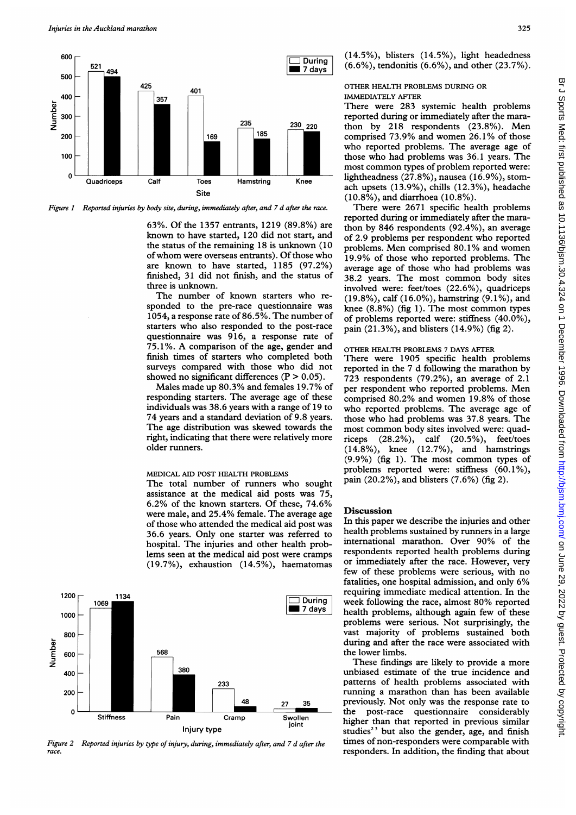

Figure <sup>1</sup> Reported injuries by body site, during, immediately after, and 7 d after the race.

63%. Of the 1357 entrants, 1219 (89.8%) are known to have started, 120 did not start, and the status of the remaining 18 is unknown (10 of whom were overseas entrants). Of those who are known to have started, 1185 (97.2%) finished, 31 did not finish, and the status of three is unknown.

The number of known starters who responded to the pre-race questionnaire was 1054, a response rate of 86.5%. The number of starters who also responded to the post-race questionnaire was 916, a response rate of 75.1%. A comparison of the age, gender and finish times of starters who completed both surveys compared with those who did not showed no significant differences  $(P > 0.05)$ .

Males made up 80.3% and females 19.7% of responding starters. The average age of these individuals was 38.6 years with a range of 19 to 74 years and a standard deviation of 9.8 years. The age distribution was skewed towards the right, indicating that there were relatively more older runners.

#### MEDICAL AID POST HEALTH PROBLEMS

The total number of runners who sought assistance at the medical aid posts was 75, 6.2% of the known starters. Of these, 74.6% were male, and 25.4% female. The average age of those who attended the medical aid post was 36.6 years. Only one starter was referred to hospital. The injuries and other health problems seen at the medical aid post were cramps (19.7%), exhaustion (14.5%), haematomas



Figure 2 Reported injuries by type of injury, during, immediately after, and 7 d after the race.

(14.5%), blisters (14.5%), light headedness (6.6%), tendonitis (6.6%), and other (23.7%).

## OTHER HEALTH PROBLEMS DURING OR IMMEDIATELY AFTER

There were 283 systemic health problems reported during or immediately after the marathon by 218 respondents (23.8%). Men comprised 73.9% and women 26.1 % of those who reported problems. The average age of those who had problems was 36.1 years. The most common types of problem reported were: lightheadness (27.8%), nausea (16.9%), stomach upsets (13.9%), chills (12.3%), headache (10.8%), and diarrhoea (10.8%).

There were 2671 specific health problems reported during or immediately after the marathon by 846 respondents (92.4%), an average of 2.9 problems per respondent who reported problems. Men comprised 80.1 % and women 19.9% of those who reported problems. The average age of those who had problems was 38.2 years. The most common body sites involved were: feet/toes (22.6%), quadriceps (19.8%), calf (16.0%), hamstring (9.1%), and knee (8.8%) (fig 1). The most common types of problems reported were: stiffness (40.0%), pain (21.3%), and blisters (14.9%) (fig 2).

### OTHER HEALTH PROBLEMS <sup>7</sup> DAYS AFTER

There were 1905 specific health problems reported in the 7 d following the marathon by 723 respondents (79.2%), an average of 2.1 per respondent who reported problems. Men comprised 80.2% and women 19.8% of those who reported problems. The average age of those who had problems was 37.8 years. The most common body sites involved were: quadriceps (28.2%), calf (20.5%), feet/toes (14.8%), knee (12.7%), and hamstrings (9.9%) (fig 1). The most common types of problems reported were: stiffness (60.1%), pain (20.2%), and blisters (7.6%) (fig 2).

## **Discussion**

In this paper we describe the injuries and other health problems sustained by runners in a large international marathon. Over 90% of the respondents reported health problems during or immediately after the race. However, very few of these problems were serious, with no fatalities, one hospital admission, and only 6% requiring immediate medical attention. In the week following the race, almost 80% reported health problems, although again few of these problems were serious. Not surprisingly, the vast majority of problems sustained both during and after the race were associated with the lower limbs.

These findings are likely to provide a more unbiased estimate of the true incidence and patterns of health problems associated with running a marathon than has been available previously. Not only was the response rate to the post-race questionnaire considerably higher than that reported in previous similar studies<sup>23</sup> but also the gender, age, and finish times of non-responders were comparable with responders. In addition, the finding that about